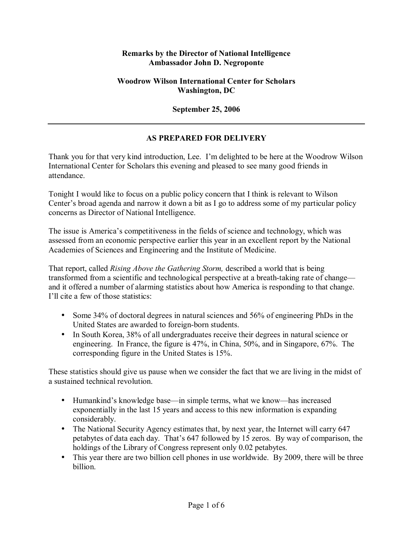## **Remarks by the Director of National Intelligence Ambassador John D. Negroponte**

## **Woodrow Wilson International Center for Scholars Washington, DC**

## **September 25, 2006**

## **AS PREPARED FOR DELIVERY**

Thank you for that very kind introduction, Lee. Iím delighted to be here at the Woodrow Wilson International Center for Scholars this evening and pleased to see many good friends in attendance.

Tonight I would like to focus on a public policy concern that I think is relevant to Wilson Center's broad agenda and narrow it down a bit as I go to address some of my particular policy concerns as Director of National Intelligence.

The issue is Americaís competitiveness in the fields of science and technology, which was assessed from an economic perspective earlier this year in an excellent report by the National Academies of Sciences and Engineering and the Institute of Medicine.

That report, called *Rising Above the Gathering Storm,* described a world that is being transformed from a scientific and technological perspective at a breath-taking rate of change and it offered a number of alarming statistics about how America is responding to that change. I'll cite a few of those statistics:

- Some 34% of doctoral degrees in natural sciences and 56% of engineering PhDs in the United States are awarded to foreign-born students.
- In South Korea, 38% of all undergraduates receive their degrees in natural science or engineering. In France, the figure is 47%, in China, 50%, and in Singapore, 67%. The corresponding figure in the United States is 15%.

These statistics should give us pause when we consider the fact that we are living in the midst of a sustained technical revolution.

- Humankind's knowledge base—in simple terms, what we know—has increased exponentially in the last 15 years and access to this new information is expanding considerably.
- The National Security Agency estimates that, by next year, the Internet will carry 647 petabytes of data each day. That's 647 followed by 15 zeros. By way of comparison, the holdings of the Library of Congress represent only 0.02 petabytes.
- This year there are two billion cell phones in use worldwide. By 2009, there will be three billion.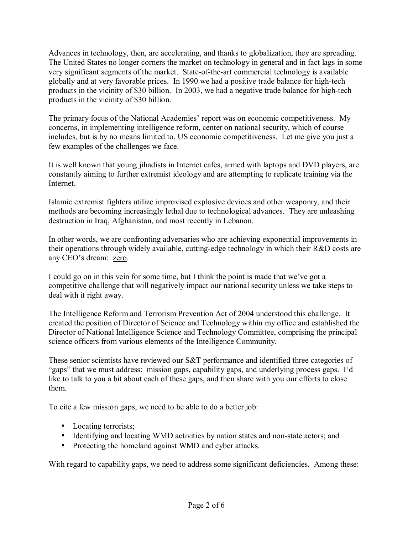Advances in technology, then, are accelerating, and thanks to globalization, they are spreading. The United States no longer corners the market on technology in general and in fact lags in some very significant segments of the market. State-of-the-art commercial technology is available globally and at very favorable prices. In 1990 we had a positive trade balance for high-tech products in the vicinity of \$30 billion. In 2003, we had a negative trade balance for high-tech products in the vicinity of \$30 billion.

The primary focus of the National Academies' report was on economic competitiveness. My concerns, in implementing intelligence reform, center on national security, which of course includes, but is by no means limited to, US economic competitiveness. Let me give you just a few examples of the challenges we face.

It is well known that young jihadists in Internet cafes, armed with laptops and DVD players, are constantly aiming to further extremist ideology and are attempting to replicate training via the **Internet** 

Islamic extremist fighters utilize improvised explosive devices and other weaponry, and their methods are becoming increasingly lethal due to technological advances. They are unleashing destruction in Iraq, Afghanistan, and most recently in Lebanon.

In other words, we are confronting adversaries who are achieving exponential improvements in their operations through widely available, cutting-edge technology in which their R&D costs are any CEO's dream: zero.

I could go on in this vein for some time, but I think the point is made that we've got a competitive challenge that will negatively impact our national security unless we take steps to deal with it right away.

The Intelligence Reform and Terrorism Prevention Act of 2004 understood this challenge. It created the position of Director of Science and Technology within my office and established the Director of National Intelligence Science and Technology Committee, comprising the principal science officers from various elements of the Intelligence Community.

These senior scientists have reviewed our S&T performance and identified three categories of ìgapsî that we must address: mission gaps, capability gaps, and underlying process gaps. Iíd like to talk to you a bit about each of these gaps, and then share with you our efforts to close them.

To cite a few mission gaps, we need to be able to do a better job:

- Locating terrorists;
- Identifying and locating WMD activities by nation states and non-state actors; and
- Protecting the homeland against WMD and cyber attacks.

With regard to capability gaps, we need to address some significant deficiencies. Among these: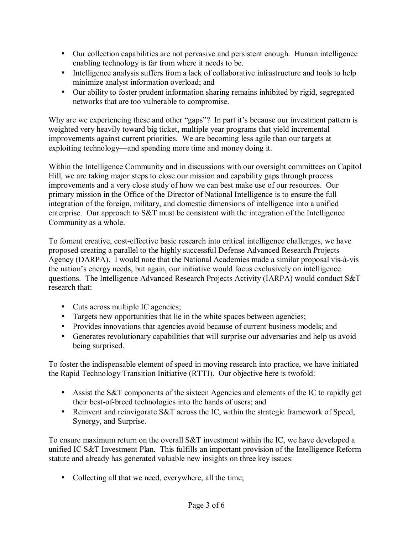- Our collection capabilities are not pervasive and persistent enough. Human intelligence enabling technology is far from where it needs to be.
- Intelligence analysis suffers from a lack of collaborative infrastructure and tools to help minimize analyst information overload; and
- Our ability to foster prudent information sharing remains inhibited by rigid, segregated networks that are too vulnerable to compromise.

Why are we experiencing these and other "gaps"? In part it's because our investment pattern is weighted very heavily toward big ticket, multiple year programs that yield incremental improvements against current priorities. We are becoming less agile than our targets at exploiting technology—and spending more time and money doing it.

Within the Intelligence Community and in discussions with our oversight committees on Capitol Hill, we are taking major steps to close our mission and capability gaps through process improvements and a very close study of how we can best make use of our resources. Our primary mission in the Office of the Director of National Intelligence is to ensure the full integration of the foreign, military, and domestic dimensions of intelligence into a unified enterprise. Our approach to S&T must be consistent with the integration of the Intelligence Community as a whole.

To foment creative, cost-effective basic research into critical intelligence challenges, we have proposed creating a parallel to the highly successful Defense Advanced Research Projects Agency (DARPA). I would note that the National Academies made a similar proposal vis-à-vis the nation's energy needs, but again, our initiative would focus exclusively on intelligence questions. The Intelligence Advanced Research Projects Activity (IARPA) would conduct S&T research that:

- Cuts across multiple IC agencies;
- Targets new opportunities that lie in the white spaces between agencies;
- Provides innovations that agencies avoid because of current business models; and
- Generates revolutionary capabilities that will surprise our adversaries and help us avoid being surprised.

To foster the indispensable element of speed in moving research into practice, we have initiated the Rapid Technology Transition Initiative (RTTI). Our objective here is twofold:

- Assist the S&T components of the sixteen Agencies and elements of the IC to rapidly get their best-of-breed technologies into the hands of users; and
- Reinvent and reinvigorate S&T across the IC, within the strategic framework of Speed, Synergy, and Surprise.

To ensure maximum return on the overall S&T investment within the IC, we have developed a unified IC S&T Investment Plan. This fulfills an important provision of the Intelligence Reform statute and already has generated valuable new insights on three key issues:

• Collecting all that we need, everywhere, all the time;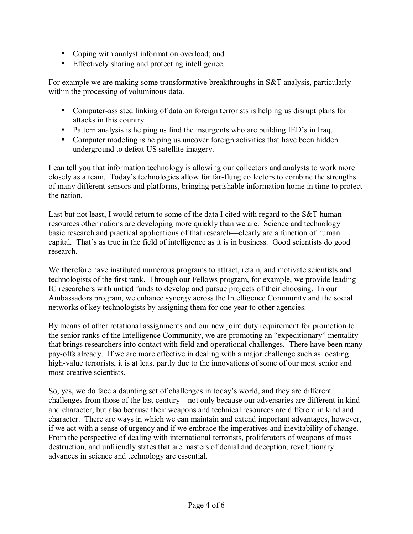- Coping with analyst information overload; and
- Effectively sharing and protecting intelligence.

For example we are making some transformative breakthroughs in S&T analysis, particularly within the processing of voluminous data.

- Computer-assisted linking of data on foreign terrorists is helping us disrupt plans for attacks in this country.
- Pattern analysis is helping us find the insurgents who are building IED's in Iraq.
- Computer modeling is helping us uncover foreign activities that have been hidden underground to defeat US satellite imagery.

I can tell you that information technology is allowing our collectors and analysts to work more closely as a team. Today's technologies allow for far-flung collectors to combine the strengths of many different sensors and platforms, bringing perishable information home in time to protect the nation.

Last but not least, I would return to some of the data I cited with regard to the S&T human resources other nations are developing more quickly than we are. Science and technology basic research and practical applications of that research—clearly are a function of human capital. That's as true in the field of intelligence as it is in business. Good scientists do good research.

We therefore have instituted numerous programs to attract, retain, and motivate scientists and technologists of the first rank. Through our Fellows program, for example, we provide leading IC researchers with untied funds to develop and pursue projects of their choosing. In our Ambassadors program, we enhance synergy across the Intelligence Community and the social networks of key technologists by assigning them for one year to other agencies.

By means of other rotational assignments and our new joint duty requirement for promotion to the senior ranks of the Intelligence Community, we are promoting an "expeditionary" mentality that brings researchers into contact with field and operational challenges. There have been many pay-offs already. If we are more effective in dealing with a major challenge such as locating high-value terrorists, it is at least partly due to the innovations of some of our most senior and most creative scientists.

So, yes, we do face a daunting set of challenges in today's world, and they are different challenges from those of the last century—not only because our adversaries are different in kind and character, but also because their weapons and technical resources are different in kind and character. There are ways in which we can maintain and extend important advantages, however, if we act with a sense of urgency and if we embrace the imperatives and inevitability of change. From the perspective of dealing with international terrorists, proliferators of weapons of mass destruction, and unfriendly states that are masters of denial and deception, revolutionary advances in science and technology are essential.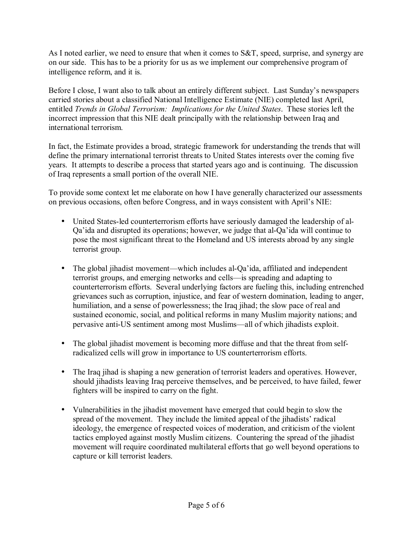As I noted earlier, we need to ensure that when it comes to S&T, speed, surprise, and synergy are on our side. This has to be a priority for us as we implement our comprehensive program of intelligence reform, and it is.

Before I close, I want also to talk about an entirely different subject. Last Sunday's newspapers carried stories about a classified National Intelligence Estimate (NIE) completed last April, entitled *Trends in Global Terrorism: Implications for the United States*. These stories left the incorrect impression that this NIE dealt principally with the relationship between Iraq and international terrorism.

In fact, the Estimate provides a broad, strategic framework for understanding the trends that will define the primary international terrorist threats to United States interests over the coming five years. It attempts to describe a process that started years ago and is continuing. The discussion of Iraq represents a small portion of the overall NIE.

To provide some context let me elaborate on how I have generally characterized our assessments on previous occasions, often before Congress, and in ways consistent with April's NIE:

- United States-led counterterrorism efforts have seriously damaged the leadership of al-Qa'ida and disrupted its operations; however, we judge that al-Qa'ida will continue to pose the most significant threat to the Homeland and US interests abroad by any single terrorist group.
- The global jihadist movement—which includes al-Qa'ida, affiliated and independent terrorist groups, and emerging networks and cells—is spreading and adapting to counterterrorism efforts. Several underlying factors are fueling this, including entrenched grievances such as corruption, injustice, and fear of western domination, leading to anger, humiliation, and a sense of powerlessness; the Iraq jihad; the slow pace of real and sustained economic, social, and political reforms in many Muslim majority nations; and pervasive anti-US sentiment among most Muslims—all of which jihadists exploit.
- The global jihadist movement is becoming more diffuse and that the threat from selfradicalized cells will grow in importance to US counterterrorism efforts.
- The Iraq jihad is shaping a new generation of terrorist leaders and operatives. However, should jihadists leaving Iraq perceive themselves, and be perceived, to have failed, fewer fighters will be inspired to carry on the fight.
- Vulnerabilities in the jihadist movement have emerged that could begin to slow the spread of the movement. They include the limited appeal of the jihadists' radical ideology, the emergence of respected voices of moderation, and criticism of the violent tactics employed against mostly Muslim citizens. Countering the spread of the jihadist movement will require coordinated multilateral efforts that go well beyond operations to capture or kill terrorist leaders.